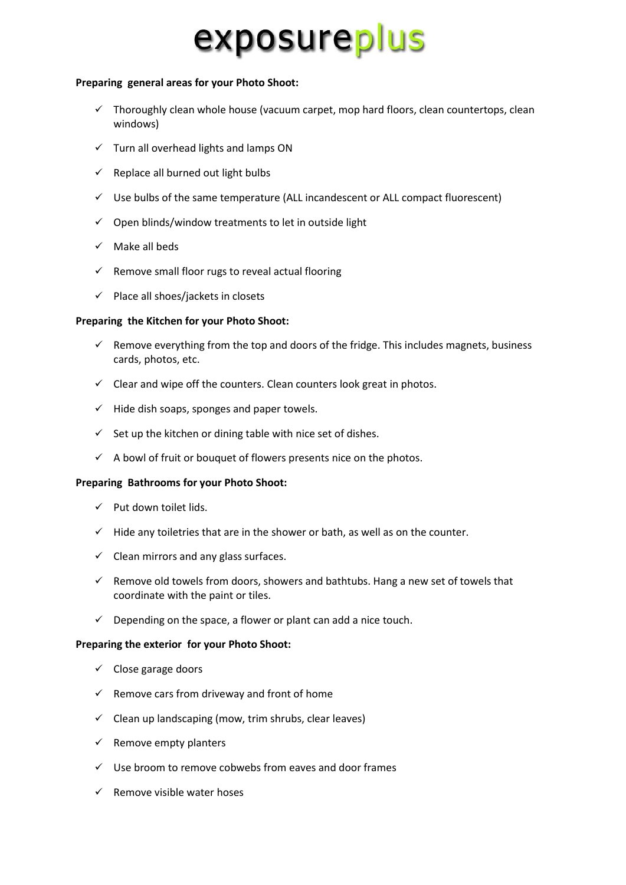## exposureplus

### **Preparing general areas for your Photo Shoot:**

- $\checkmark$  Thoroughly clean whole house (vacuum carpet, mop hard floors, clean countertops, clean windows)
- $\checkmark$  Turn all overhead lights and lamps ON
- $\checkmark$  Replace all burned out light bulbs
- $\checkmark$  Use bulbs of the same temperature (ALL incandescent or ALL compact fluorescent)
- $\checkmark$  Open blinds/window treatments to let in outside light
- $\checkmark$  Make all beds
- $\checkmark$  Remove small floor rugs to reveal actual flooring
- $\checkmark$  Place all shoes/jackets in closets

### **Preparing the Kitchen for your Photo Shoot:**

- $\checkmark$  Remove everything from the top and doors of the fridge. This includes magnets, business cards, photos, etc.
- $\checkmark$  Clear and wipe off the counters. Clean counters look great in photos.
- $\checkmark$  Hide dish soaps, sponges and paper towels.
- $\checkmark$  Set up the kitchen or dining table with nice set of dishes.
- $\checkmark$  A bowl of fruit or bouquet of flowers presents nice on the photos.

### **Preparing Bathrooms for your Photo Shoot:**

- $\checkmark$  Put down toilet lids.
- $\checkmark$  Hide any toiletries that are in the shower or bath, as well as on the counter.
- $\checkmark$  Clean mirrors and any glass surfaces.
- $\checkmark$  Remove old towels from doors, showers and bathtubs. Hang a new set of towels that coordinate with the paint or tiles.
- $\checkmark$  Depending on the space, a flower or plant can add a nice touch.

### **Preparing the exterior for your Photo Shoot:**

- $\checkmark$  Close garage doors
- $\checkmark$  Remove cars from driveway and front of home
- $\checkmark$  Clean up landscaping (mow, trim shrubs, clear leaves)
- $\checkmark$  Remove empty planters
- $\checkmark$  Use broom to remove cobwebs from eaves and door frames
- $\checkmark$  Remove visible water hoses